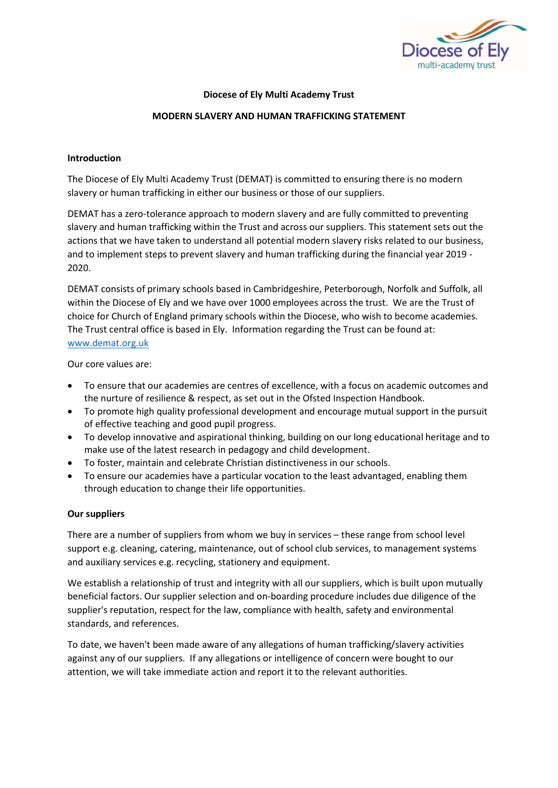

# Diocese of Ely Multi Academy Trust

#### MODERN SLAVERY AND HUMAN TRAFFICKING STATEMENT

#### Introduction

The Diocese of Ely Multi Academy Trust (DEMAT) is committed to ensuring there is no modern slavery or human trafficking in either our business or those of our suppliers.

DEMAT has a zero-tolerance approach to modern slavery and are fully committed to preventing slavery and human trafficking within the Trust and across our suppliers. This statement sets out the actions that we have taken to understand all potential modern slavery risks related to our business, and to implement steps to prevent slavery and human trafficking during the financial year 2019 - 2020.

DEMAT consists of primary schools based in Cambridgeshire, Peterborough, Norfolk and Suffolk, all within the Diocese of Ely and we have over 1000 employees across the trust. We are the Trust of choice for Church of England primary schools within the Diocese, who wish to become academies. The Trust central office is based in Ely. Information regarding the Trust can be found at: www.demat.org.uk

Our core values are:

- To ensure that our academies are centres of excellence, with a focus on academic outcomes and the nurture of resilience & respect, as set out in the Ofsted Inspection Handbook.
- To promote high quality professional development and encourage mutual support in the pursuit of effective teaching and good pupil progress.
- To develop innovative and aspirational thinking, building on our long educational heritage and to make use of the latest research in pedagogy and child development.
- To foster, maintain and celebrate Christian distinctiveness in our schools.
- To ensure our academies have a particular vocation to the least advantaged, enabling them through education to change their life opportunities.

#### Our suppliers

There are a number of suppliers from whom we buy in services – these range from school level support e.g. cleaning, catering, maintenance, out of school club services, to management systems and auxiliary services e.g. recycling, stationery and equipment.

We establish a relationship of trust and integrity with all our suppliers, which is built upon mutually beneficial factors. Our supplier selection and on-boarding procedure includes due diligence of the supplier's reputation, respect for the law, compliance with health, safety and environmental standards, and references.

To date, we haven't been made aware of any allegations of human trafficking/slavery activities against any of our suppliers. If any allegations or intelligence of concern were bought to our attention, we will take immediate action and report it to the relevant authorities.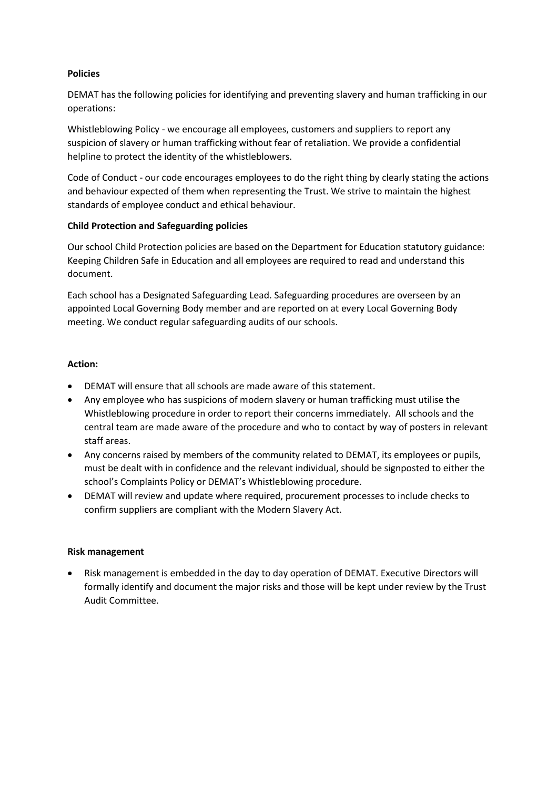## Policies

DEMAT has the following policies for identifying and preventing slavery and human trafficking in our operations:

Whistleblowing Policy - we encourage all employees, customers and suppliers to report any suspicion of slavery or human trafficking without fear of retaliation. We provide a confidential helpline to protect the identity of the whistleblowers.

Code of Conduct - our code encourages employees to do the right thing by clearly stating the actions and behaviour expected of them when representing the Trust. We strive to maintain the highest standards of employee conduct and ethical behaviour.

## Child Protection and Safeguarding policies

Our school Child Protection policies are based on the Department for Education statutory guidance: Keeping Children Safe in Education and all employees are required to read and understand this document.

Each school has a Designated Safeguarding Lead. Safeguarding procedures are overseen by an appointed Local Governing Body member and are reported on at every Local Governing Body meeting. We conduct regular safeguarding audits of our schools.

## Action:

- DEMAT will ensure that all schools are made aware of this statement.
- Any employee who has suspicions of modern slavery or human trafficking must utilise the Whistleblowing procedure in order to report their concerns immediately. All schools and the central team are made aware of the procedure and who to contact by way of posters in relevant staff areas.
- Any concerns raised by members of the community related to DEMAT, its employees or pupils, must be dealt with in confidence and the relevant individual, should be signposted to either the school's Complaints Policy or DEMAT's Whistleblowing procedure.
- DEMAT will review and update where required, procurement processes to include checks to confirm suppliers are compliant with the Modern Slavery Act.

#### Risk management

 Risk management is embedded in the day to day operation of DEMAT. Executive Directors will formally identify and document the major risks and those will be kept under review by the Trust Audit Committee.